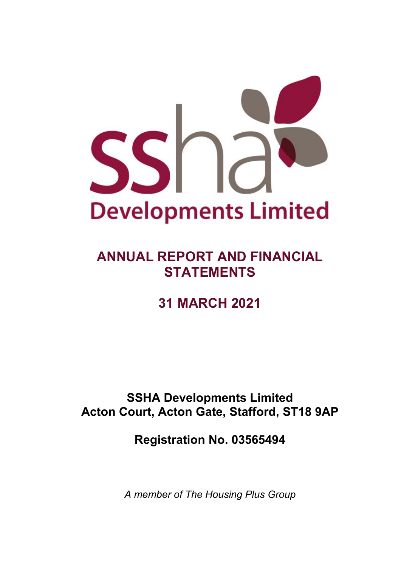

# **ANNUAL REPORT AND FINANCIAL STATEMENTS**

# **31 MARCH 2021**

## **SSHA Developments Limited Acton Court, Acton Gate, Stafford, ST18 9AP**

# **Registration No. 03565494**

*A member of The Housing Plus Group*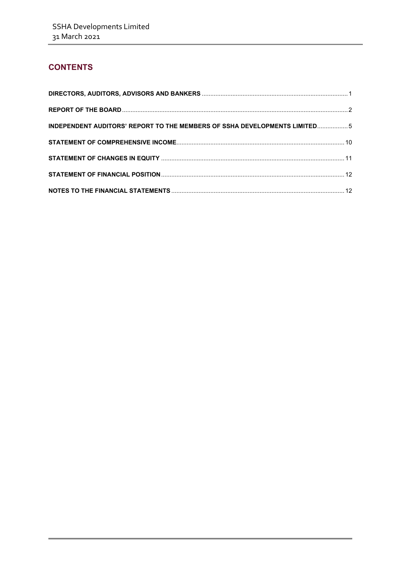## **CONTENTS**

| INDEPENDENT AUDITORS' REPORT TO THE MEMBERS OF SSHA DEVELOPMENTS LIMITED5 |  |
|---------------------------------------------------------------------------|--|
|                                                                           |  |
|                                                                           |  |
|                                                                           |  |
|                                                                           |  |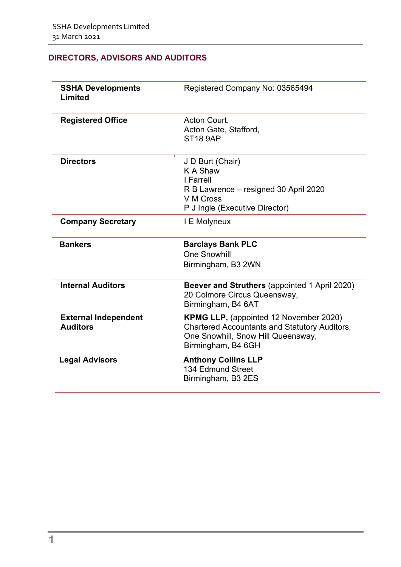## <span id="page-2-0"></span>**DIRECTORS, ADVISORS AND AUDITORS**

| <b>SSHA Developments</b><br><b>Limited</b>     | Registered Company No: 03565494                                                                                                                                   |
|------------------------------------------------|-------------------------------------------------------------------------------------------------------------------------------------------------------------------|
| <b>Registered Office</b>                       | Acton Court,<br>Acton Gate, Stafford,<br><b>ST18 9AP</b>                                                                                                          |
| <b>Directors</b>                               | J D Burt (Chair)<br><b>KA Shaw</b><br>I Farrell<br>R B Lawrence – resigned 30 April 2020<br>V M Cross<br>P J Ingle (Executive Director)                           |
| <b>Company Secretary</b>                       | I E Molyneux                                                                                                                                                      |
| <b>Bankers</b>                                 | <b>Barclays Bank PLC</b><br><b>One Snowhill</b><br>Birmingham, B3 2WN                                                                                             |
| <b>Internal Auditors</b>                       | Beever and Struthers (appointed 1 April 2020)<br>20 Colmore Circus Queensway,<br>Birmingham, B4 6AT                                                               |
| <b>External Independent</b><br><b>Auditors</b> | <b>KPMG LLP, (appointed 12 November 2020)</b><br><b>Chartered Accountants and Statutory Auditors,</b><br>One Snowhill, Snow Hill Queensway,<br>Birmingham, B4 6GH |
| <b>Legal Advisors</b>                          | <b>Anthony Collins LLP</b><br>134 Edmund Street<br>Birmingham, B3 2ES                                                                                             |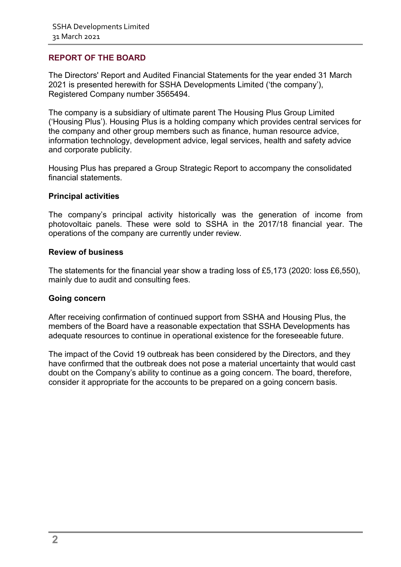## <span id="page-3-0"></span>**REPORT OF THE BOARD**

The Directors' Report and Audited Financial Statements for the year ended 31 March 2021 is presented herewith for SSHA Developments Limited ('the company'), Registered Company number 3565494.

The company is a subsidiary of ultimate parent The Housing Plus Group Limited ('Housing Plus'). Housing Plus is a holding company which provides central services for the company and other group members such as finance, human resource advice, information technology, development advice, legal services, health and safety advice and corporate publicity.

Housing Plus has prepared a Group Strategic Report to accompany the consolidated financial statements.

#### **Principal activities**

The company's principal activity historically was the generation of income from photovoltaic panels. These were sold to SSHA in the 2017/18 financial year. The operations of the company are currently under review.

#### **Review of business**

The statements for the financial year show a trading loss of £5,173 (2020: loss £6,550), mainly due to audit and consulting fees.

#### **Going concern**

After receiving confirmation of continued support from SSHA and Housing Plus, the members of the Board have a reasonable expectation that SSHA Developments has adequate resources to continue in operational existence for the foreseeable future.

The impact of the Covid 19 outbreak has been considered by the Directors, and they have confirmed that the outbreak does not pose a material uncertainty that would cast doubt on the Company's ability to continue as a going concern. The board, therefore, consider it appropriate for the accounts to be prepared on a going concern basis.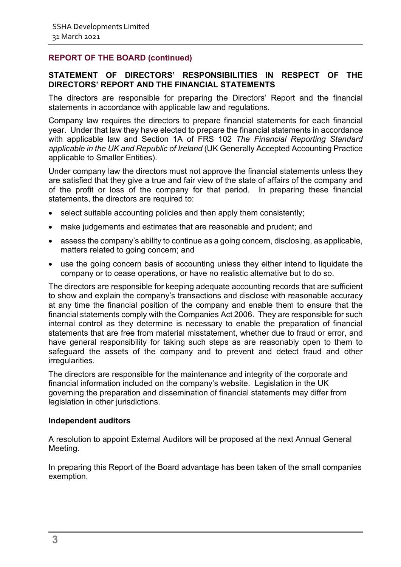## **REPORT OF THE BOARD (continued)**

### **STATEMENT OF DIRECTORS' RESPONSIBILITIES IN RESPECT OF THE DIRECTORS' REPORT AND THE FINANCIAL STATEMENTS**

The directors are responsible for preparing the Directors' Report and the financial statements in accordance with applicable law and regulations.

Company law requires the directors to prepare financial statements for each financial year. Under that law they have elected to prepare the financial statements in accordance with applicable law and Section 1A of FRS 102 *The Financial Reporting Standard applicable in the UK and Republic of Ireland* (UK Generally Accepted Accounting Practice applicable to Smaller Entities).

Under company law the directors must not approve the financial statements unless they are satisfied that they give a true and fair view of the state of affairs of the company and of the profit or loss of the company for that period. In preparing these financial statements, the directors are required to:

- select suitable accounting policies and then apply them consistently;
- make judgements and estimates that are reasonable and prudent; and
- assess the company's ability to continue as a going concern, disclosing, as applicable, matters related to going concern; and
- use the going concern basis of accounting unless they either intend to liquidate the company or to cease operations, or have no realistic alternative but to do so.

The directors are responsible for keeping adequate accounting records that are sufficient to show and explain the company's transactions and disclose with reasonable accuracy at any time the financial position of the company and enable them to ensure that the financial statements comply with the Companies Act 2006. They are responsible for such internal control as they determine is necessary to enable the preparation of financial statements that are free from material misstatement, whether due to fraud or error, and have general responsibility for taking such steps as are reasonably open to them to safeguard the assets of the company and to prevent and detect fraud and other irregularities.

The directors are responsible for the maintenance and integrity of the corporate and financial information included on the company's website. Legislation in the UK governing the preparation and dissemination of financial statements may differ from legislation in other jurisdictions.

#### **Independent auditors**

A resolution to appoint External Auditors will be proposed at the next Annual General Meeting.

In preparing this Report of the Board advantage has been taken of the small companies exemption.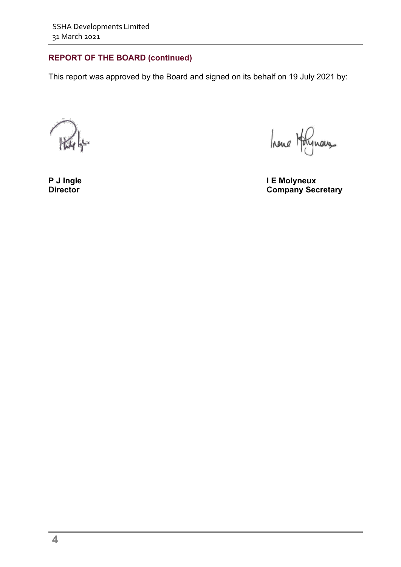## **REPORT OF THE BOARD (continued)**

This report was approved by the Board and signed on its behalf on 19 July 2021 by:

hene Holynous

**P J Ingle I E Molyneux Company Secretary**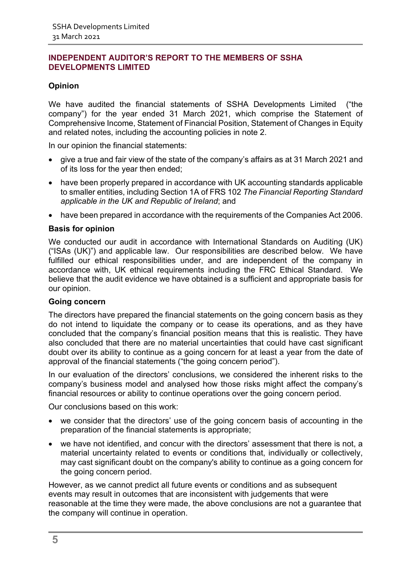## <span id="page-6-1"></span><span id="page-6-0"></span>**Opinion**

We have audited the financial statements of SSHA Developments Limited ("the company") for the year ended 31 March 2021, which comprise the Statement of Comprehensive Income, Statement of Financial Position, Statement of Changes in Equity and related notes, including the accounting policies in note 2.

In our opinion the financial statements:

- give a true and fair view of the state of the company's affairs as at 31 March 2021 and of its loss for the year then ended;
- have been properly prepared in accordance with UK accounting standards applicable to smaller entities, including Section 1A of FRS 102 *The Financial Reporting Standard applicable in the UK and Republic of Ireland*; and
- have been prepared in accordance with the requirements of the Companies Act 2006.

#### **Basis for opinion**

We conducted our audit in accordance with International Standards on Auditing (UK) ("ISAs (UK)") and applicable law. Our responsibilities are described below. We have fulfilled our ethical responsibilities under, and are independent of the company in accordance with, UK ethical requirements including the FRC Ethical Standard. We believe that the audit evidence we have obtained is a sufficient and appropriate basis for our opinion.

#### **Going concern**

The directors have prepared the financial statements on the going concern basis as they do not intend to liquidate the company or to cease its operations, and as they have concluded that the company's financial position means that this is realistic. They have also concluded that there are no material uncertainties that could have cast significant doubt over its ability to continue as a going concern for at least a year from the date of approval of the financial statements ("the going concern period").

In our evaluation of the directors' conclusions, we considered the inherent risks to the company's business model and analysed how those risks might affect the company's financial resources or ability to continue operations over the going concern period.

Our conclusions based on this work:

- we consider that the directors' use of the going concern basis of accounting in the preparation of the financial statements is appropriate;
- we have not identified, and concur with the directors' assessment that there is not, a material uncertainty related to events or conditions that, individually or collectively, may cast significant doubt on the company's ability to continue as a going concern for the going concern period.

However, as we cannot predict all future events or conditions and as subsequent events may result in outcomes that are inconsistent with judgements that were reasonable at the time they were made, the above conclusions are not a guarantee that the company will continue in operation.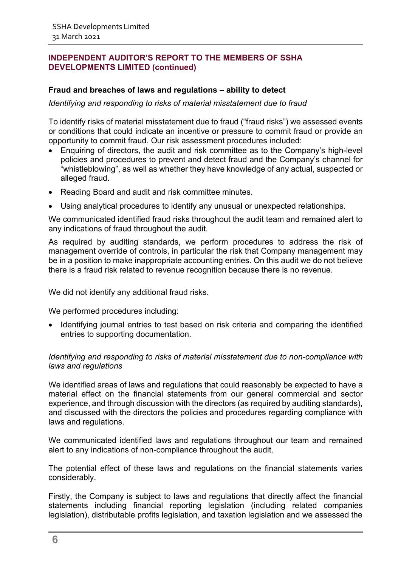## **Fraud and breaches of laws and regulations – ability to detect**

#### *Identifying and responding to risks of material misstatement due to fraud*

To identify risks of material misstatement due to fraud ("fraud risks") we assessed events or conditions that could indicate an incentive or pressure to commit fraud or provide an opportunity to commit fraud. Our risk assessment procedures included:

- Enquiring of directors, the audit and risk committee as to the Company's high-level policies and procedures to prevent and detect fraud and the Company's channel for "whistleblowing", as well as whether they have knowledge of any actual, suspected or alleged fraud.
- Reading Board and audit and risk committee minutes.
- Using analytical procedures to identify any unusual or unexpected relationships.

We communicated identified fraud risks throughout the audit team and remained alert to any indications of fraud throughout the audit.

As required by auditing standards, we perform procedures to address the risk of management override of controls, in particular the risk that Company management may be in a position to make inappropriate accounting entries. On this audit we do not believe there is a fraud risk related to revenue recognition because there is no revenue.

We did not identify any additional fraud risks.

We performed procedures including:

• Identifying journal entries to test based on risk criteria and comparing the identified entries to supporting documentation.

#### *Identifying and responding to risks of material misstatement due to non-compliance with laws and regulations*

We identified areas of laws and regulations that could reasonably be expected to have a material effect on the financial statements from our general commercial and sector experience, and through discussion with the directors (as required by auditing standards), and discussed with the directors the policies and procedures regarding compliance with laws and regulations.

We communicated identified laws and regulations throughout our team and remained alert to any indications of non-compliance throughout the audit.

The potential effect of these laws and regulations on the financial statements varies considerably.

Firstly, the Company is subject to laws and regulations that directly affect the financial statements including financial reporting legislation (including related companies legislation), distributable profits legislation, and taxation legislation and we assessed the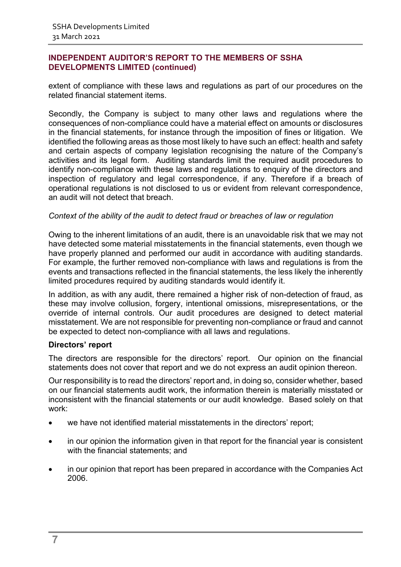extent of compliance with these laws and regulations as part of our procedures on the related financial statement items.

Secondly, the Company is subject to many other laws and regulations where the consequences of non-compliance could have a material effect on amounts or disclosures in the financial statements, for instance through the imposition of fines or litigation. We identified the following areas as those most likely to have such an effect: health and safety and certain aspects of company legislation recognising the nature of the Company's activities and its legal form. Auditing standards limit the required audit procedures to identify non-compliance with these laws and regulations to enquiry of the directors and inspection of regulatory and legal correspondence, if any. Therefore if a breach of operational regulations is not disclosed to us or evident from relevant correspondence, an audit will not detect that breach.

#### *Context of the ability of the audit to detect fraud or breaches of law or regulation*

Owing to the inherent limitations of an audit, there is an unavoidable risk that we may not have detected some material misstatements in the financial statements, even though we have properly planned and performed our audit in accordance with auditing standards. For example, the further removed non-compliance with laws and regulations is from the events and transactions reflected in the financial statements, the less likely the inherently limited procedures required by auditing standards would identify it.

In addition, as with any audit, there remained a higher risk of non-detection of fraud, as these may involve collusion, forgery, intentional omissions, misrepresentations, or the override of internal controls. Our audit procedures are designed to detect material misstatement. We are not responsible for preventing non-compliance or fraud and cannot be expected to detect non-compliance with all laws and regulations.

#### **Directors' report**

The directors are responsible for the directors' report. Our opinion on the financial statements does not cover that report and we do not express an audit opinion thereon.

Our responsibility is to read the directors' report and, in doing so, consider whether, based on our financial statements audit work, the information therein is materially misstated or inconsistent with the financial statements or our audit knowledge. Based solely on that work:

- we have not identified material misstatements in the directors' report;
- in our opinion the information given in that report for the financial year is consistent with the financial statements; and
- in our opinion that report has been prepared in accordance with the Companies Act 2006.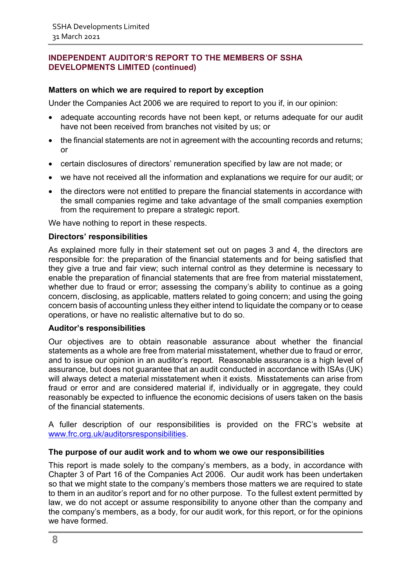## **Matters on which we are required to report by exception**

Under the Companies Act 2006 we are required to report to you if, in our opinion:

- adequate accounting records have not been kept, or returns adequate for our audit have not been received from branches not visited by us; or
- the financial statements are not in agreement with the accounting records and returns; or
- certain disclosures of directors' remuneration specified by law are not made; or
- we have not received all the information and explanations we require for our audit; or
- the directors were not entitled to prepare the financial statements in accordance with the small companies regime and take advantage of the small companies exemption from the requirement to prepare a strategic report.

We have nothing to report in these respects.

#### **Directors' responsibilities**

As explained more fully in their statement set out on pages 3 and 4, the directors are responsible for: the preparation of the financial statements and for being satisfied that they give a true and fair view; such internal control as they determine is necessary to enable the preparation of financial statements that are free from material misstatement, whether due to fraud or error; assessing the company's ability to continue as a going concern, disclosing, as applicable, matters related to going concern; and using the going concern basis of accounting unless they either intend to liquidate the company or to cease operations, or have no realistic alternative but to do so.

#### **Auditor's responsibilities**

Our objectives are to obtain reasonable assurance about whether the financial statements as a whole are free from material misstatement, whether due to fraud or error, and to issue our opinion in an auditor's report. Reasonable assurance is a high level of assurance, but does not guarantee that an audit conducted in accordance with ISAs (UK) will always detect a material misstatement when it exists. Misstatements can arise from fraud or error and are considered material if, individually or in aggregate, they could reasonably be expected to influence the economic decisions of users taken on the basis of the financial statements.

A fuller description of our responsibilities is provided on the FRC's website at [www.frc.org.uk/auditorsresponsibilities.](http://www.frc.org.uk/auditorsresponsibilities)

#### **The purpose of our audit work and to whom we owe our responsibilities**

This report is made solely to the company's members, as a body, in accordance with Chapter 3 of Part 16 of the Companies Act 2006. Our audit work has been undertaken so that we might state to the company's members those matters we are required to state to them in an auditor's report and for no other purpose. To the fullest extent permitted by law, we do not accept or assume responsibility to anyone other than the company and the company's members, as a body, for our audit work, for this report, or for the opinions we have formed.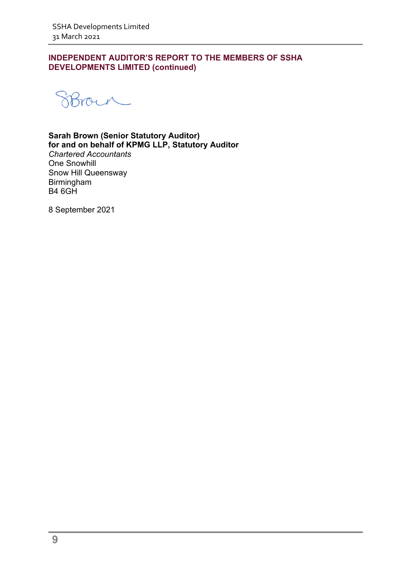SBrown

**Sarah Brown (Senior Statutory Auditor) for and on behalf of KPMG LLP, Statutory Auditor** 

*Chartered Accountants*  One Snowhill Snow Hill Queensway Birmingham B4 6GH

8 September 2021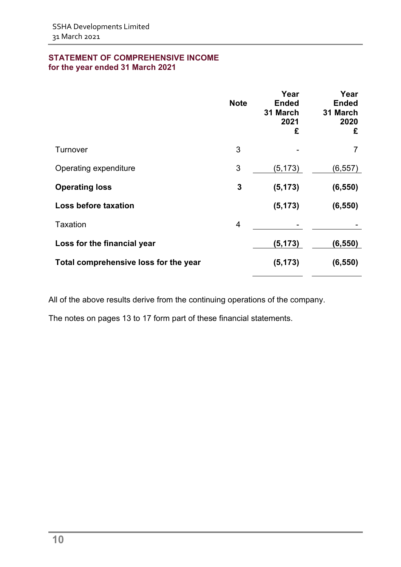## **STATEMENT OF COMPREHENSIVE INCOME for the year ended 31 March 2021**

|                                       | <b>Note</b> | Year<br><b>Ended</b><br>31 March<br>2021<br>£ | Year<br><b>Ended</b><br>31 March<br>2020<br>£ |
|---------------------------------------|-------------|-----------------------------------------------|-----------------------------------------------|
| Turnover                              | 3           |                                               |                                               |
| Operating expenditure                 | 3           | (5, 173)                                      | (6, 557)                                      |
| <b>Operating loss</b>                 | 3           | (5, 173)                                      | (6, 550)                                      |
| Loss before taxation                  |             | (5, 173)                                      | (6, 550)                                      |
| <b>Taxation</b>                       | 4           |                                               |                                               |
| Loss for the financial year           |             | (5, 173)                                      | (6, 550)                                      |
| Total comprehensive loss for the year |             | (5, 173)                                      | (6, 550)                                      |

All of the above results derive from the continuing operations of the company.

The notes on pages 13 to 17 form part of these financial statements.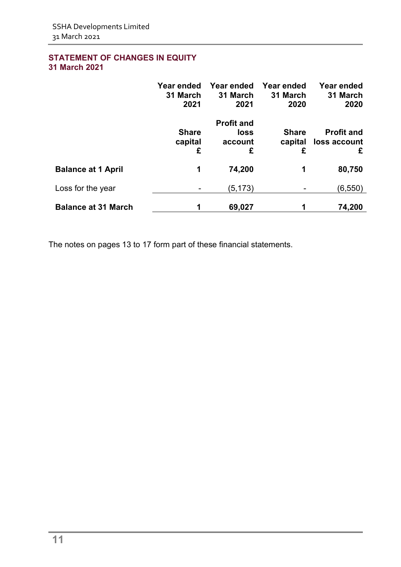## <span id="page-12-0"></span>**STATEMENT OF CHANGES IN EQUITY 31 March 2021**

|                            | Year ended<br>31 March<br>2021 | Year ended<br>31 March<br>2021            | Year ended<br>31 March<br>2020 | <b>Year ended</b><br>31 March<br>2020  |
|----------------------------|--------------------------------|-------------------------------------------|--------------------------------|----------------------------------------|
|                            | <b>Share</b><br>capital<br>£   | <b>Profit and</b><br>loss<br>account<br>£ | <b>Share</b><br>capital<br>£   | <b>Profit and</b><br>loss account<br>£ |
| <b>Balance at 1 April</b>  | 1                              | 74,200                                    | 1                              | 80,750                                 |
| Loss for the year          |                                | (5, 173)                                  |                                | (6, 550)                               |
| <b>Balance at 31 March</b> |                                | 69,027                                    |                                | 74,200                                 |

The notes on pages 13 to 17 form part of these financial statements.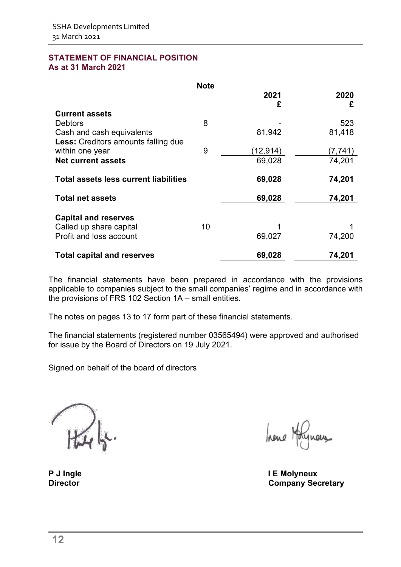#### <span id="page-13-0"></span>**STATEMENT OF FINANCIAL POSITION As at 31 March 2021**

|                                                                  | <b>Note</b> |           |           |
|------------------------------------------------------------------|-------------|-----------|-----------|
|                                                                  |             | 2021<br>£ | 2020<br>£ |
| <b>Current assets</b>                                            |             |           |           |
| <b>Debtors</b>                                                   | 8           |           | 523       |
| Cash and cash equivalents<br>Less: Creditors amounts falling due |             | 81,942    | 81,418    |
| within one year                                                  | 9           | (12,914)  | (7,741)   |
| <b>Net current assets</b>                                        |             | 69,028    | 74,201    |
| <b>Total assets less current liabilities</b>                     |             | 69,028    | 74,201    |
| <b>Total net assets</b>                                          |             | 69,028    | 74,201    |
| <b>Capital and reserves</b>                                      |             |           |           |
| Called up share capital                                          | 10          |           |           |
| Profit and loss account                                          |             | 69,027    | 74,200    |
| <b>Total capital and reserves</b>                                |             | 69,028    | 74,201    |

The financial statements have been prepared in accordance with the provisions applicable to companies subject to the small companies' regime and in accordance with the provisions of FRS 102 Section 1A – small entities.

The notes on pages 13 to 17 form part of these financial statements.

The financial statements (registered number 03565494) were approved and authorised for issue by the Board of Directors on 19 July 2021.

Signed on behalf of the board of directors

hene Hotel

<span id="page-13-1"></span>P J Ingle **P** J Ingle **I E** Molyneux<br>Director **Company** Sec **Company Secretary**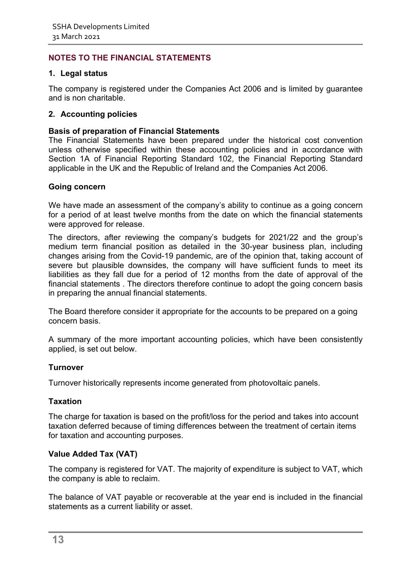## **NOTES TO THE FINANCIAL STATEMENTS**

## **1. Legal status**

The company is registered under the Companies Act 2006 and is limited by guarantee and is non charitable.

### **2. Accounting policies**

### **Basis of preparation of Financial Statements**

The Financial Statements have been prepared under the historical cost convention unless otherwise specified within these accounting policies and in accordance with Section 1A of Financial Reporting Standard 102, the Financial Reporting Standard applicable in the UK and the Republic of Ireland and the Companies Act 2006.

#### **Going concern**

We have made an assessment of the company's ability to continue as a going concern for a period of at least twelve months from the date on which the financial statements were approved for release.

The directors, after reviewing the company's budgets for 2021/22 and the group's medium term financial position as detailed in the 30-year business plan, including changes arising from the Covid-19 pandemic, are of the opinion that, taking account of severe but plausible downsides, the company will have sufficient funds to meet its liabilities as they fall due for a period of 12 months from the date of approval of the financial statements . The directors therefore continue to adopt the going concern basis in preparing the annual financial statements.

The Board therefore consider it appropriate for the accounts to be prepared on a going concern basis.

A summary of the more important accounting policies, which have been consistently applied, is set out below.

#### **Turnover**

Turnover historically represents income generated from photovoltaic panels.

#### **Taxation**

The charge for taxation is based on the profit/loss for the period and takes into account taxation deferred because of timing differences between the treatment of certain items for taxation and accounting purposes.

## **Value Added Tax (VAT)**

The company is registered for VAT. The majority of expenditure is subject to VAT, which the company is able to reclaim.

The balance of VAT payable or recoverable at the year end is included in the financial statements as a current liability or asset.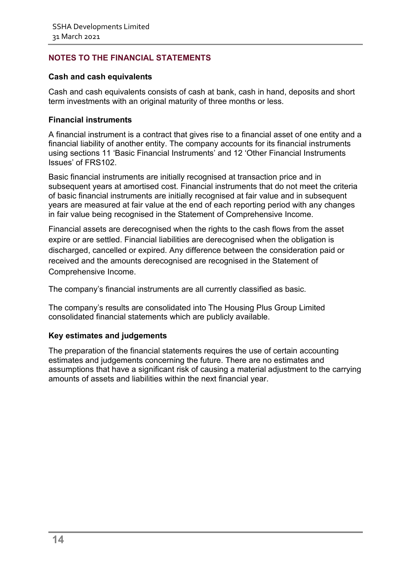## **NOTES TO THE FINANCIAL STATEMENTS**

## **Cash and cash equivalents**

Cash and cash equivalents consists of cash at bank, cash in hand, deposits and short term investments with an original maturity of three months or less.

## **Financial instruments**

A financial instrument is a contract that gives rise to a financial asset of one entity and a financial liability of another entity. The company accounts for its financial instruments using sections 11 'Basic Financial Instruments' and 12 'Other Financial Instruments Issues' of FRS102.

Basic financial instruments are initially recognised at transaction price and in subsequent years at amortised cost. Financial instruments that do not meet the criteria of basic financial instruments are initially recognised at fair value and in subsequent years are measured at fair value at the end of each reporting period with any changes in fair value being recognised in the Statement of Comprehensive Income.

Financial assets are derecognised when the rights to the cash flows from the asset expire or are settled. Financial liabilities are derecognised when the obligation is discharged, cancelled or expired. Any difference between the consideration paid or received and the amounts derecognised are recognised in the Statement of Comprehensive Income.

The company's financial instruments are all currently classified as basic.

The company's results are consolidated into The Housing Plus Group Limited consolidated financial statements which are publicly available.

## **Key estimates and judgements**

The preparation of the financial statements requires the use of certain accounting estimates and judgements concerning the future. There are no estimates and assumptions that have a significant risk of causing a material adjustment to the carrying amounts of assets and liabilities within the next financial year.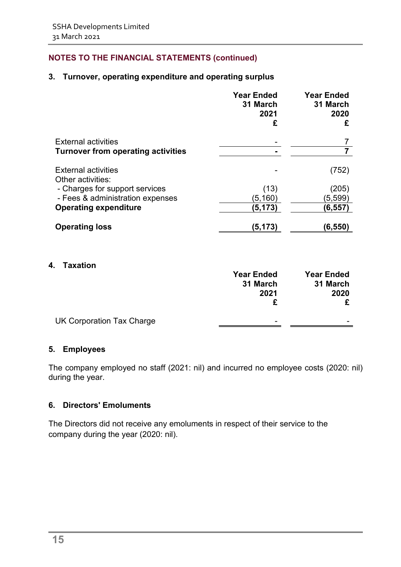## **NOTES TO THE FINANCIAL STATEMENTS (continued)**

## **3. Turnover, operating expenditure and operating surplus**

|                                                 | <b>Year Ended</b><br>31 March<br>2021<br>£ | <b>Year Ended</b><br>31 March<br>2020<br>£ |
|-------------------------------------------------|--------------------------------------------|--------------------------------------------|
| <b>External activities</b>                      |                                            |                                            |
| <b>Turnover from operating activities</b>       |                                            |                                            |
| <b>External activities</b><br>Other activities: |                                            | (752)                                      |
| - Charges for support services                  | (13)                                       | (205)                                      |
| - Fees & administration expenses                | (5, 160)                                   | (5,599)                                    |
| <b>Operating expenditure</b>                    | (5, 173)                                   | (6,557)                                    |
| <b>Operating loss</b>                           | (5,173)                                    | $\left( 6,550\right)$                      |

#### **4. Taxation**

|                                  | <b>Year Ended</b> | <b>Year Ended</b> |
|----------------------------------|-------------------|-------------------|
|                                  | 31 March          | 31 March          |
|                                  | 2021              | 2020              |
|                                  |                   |                   |
| <b>UK Corporation Tax Charge</b> | -                 | -                 |

#### **5. Employees**

The company employed no staff (2021: nil) and incurred no employee costs (2020: nil) during the year.

## **6. Directors' Emoluments**

The Directors did not receive any emoluments in respect of their service to the company during the year (2020: nil).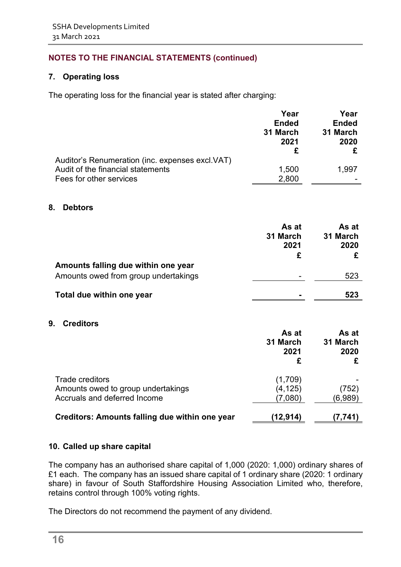## **NOTES TO THE FINANCIAL STATEMENTS (continued)**

## **7. Operating loss**

The operating loss for the financial year is stated after charging:

|                                                  | Year         | Year         |
|--------------------------------------------------|--------------|--------------|
|                                                  | <b>Ended</b> | <b>Ended</b> |
|                                                  | 31 March     | 31 March     |
|                                                  | 2021         | 2020         |
|                                                  |              |              |
| Auditor's Renumeration (inc. expenses excl. VAT) |              |              |
| Audit of the financial statements                | 1,500        | 1,997        |
| Fees for other services                          | 2,800        |              |

#### **8. Debtors**

|                                                                             | As at<br>31 March<br>2021 | As at<br>31 March<br>2020 |
|-----------------------------------------------------------------------------|---------------------------|---------------------------|
| Amounts falling due within one year<br>Amounts owed from group undertakings | ۰                         | 523                       |
| Total due within one year                                                   |                           | 523                       |

#### **9. Creditors**

|                                                | As at<br>31 March<br>2021 | As at<br>31 March<br>2020 |
|------------------------------------------------|---------------------------|---------------------------|
| Trade creditors                                | (1,709)                   |                           |
| Amounts owed to group undertakings             | (4, 125)                  | (752)                     |
| Accruals and deferred Income                   | (7.080)                   | (6,989)                   |
| Creditors: Amounts falling due within one year | (12,914)                  | (7.741)                   |

#### **10. Called up share capital**

The company has an authorised share capital of 1,000 (2020: 1,000) ordinary shares of £1 each. The company has an issued share capital of 1 ordinary share (2020: 1 ordinary share) in favour of South Staffordshire Housing Association Limited who, therefore, retains control through 100% voting rights.

The Directors do not recommend the payment of any dividend.